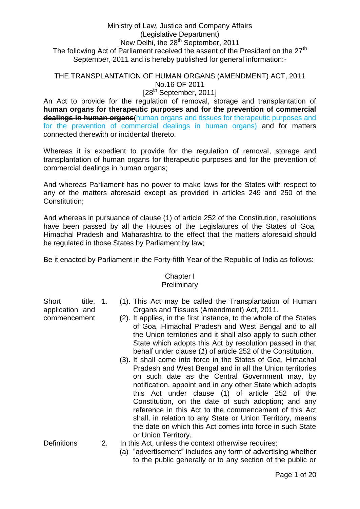# Ministry of Law, Justice and Company Affairs (Legislative Department) New Delhi, the 28<sup>th</sup> September, 2011 The following Act of Parliament received the assent of the President on the  $27<sup>th</sup>$ September, 2011 and is hereby published for general information:-

# THE TRANSPLANTATION OF HUMAN ORGANS (AMENDMENT) ACT, 2011 No.16 OF 2011

[28<sup>th</sup> September, 2011]

An Act to provide for the regulation of removal, storage and transplantation of **human organs for therapeutic purposes and for the prevention of commercial dealings in human organs**(human organs and tissues for therapeutic purposes and for the prevention of commercial dealings in human organs) and for matters connected therewith or incidental thereto.

Whereas it is expedient to provide for the regulation of removal, storage and transplantation of human organs for therapeutic purposes and for the prevention of commercial dealings in human organs;

And whereas Parliament has no power to make laws for the States with respect to any of the matters aforesaid except as provided in articles 249 and 250 of the Constitution;

And whereas in pursuance of clause (1) of article 252 of the Constitution, resolutions have been passed by all the Houses of the Legislatures of the States of Goa, Himachal Pradesh and Maharashtra to the effect that the matters aforesaid should be regulated in those States by Parliament by law;

Be it enacted by Parliament in the Forty-fifth Year of the Republic of India as follows:

# Chapter I

# **Preliminary**

Short title, 1. application and commencement

- 1. (1). This Act may be called the Transplantation of Human Organs and Tissues (Amendment) Act, 2011.
- (2). It applies, in the first instance, to the whole of the States of Goa, Himachal Pradesh and West Bengal and to all the Union territories and it shall also apply to such other State which adopts this Act by resolution passed in that behalf under clause (*1*) of article 252 of the Constitution.
- (3). It shall come into force in the States of Goa, Himachal Pradesh and West Bengal and in all the Union territories on such date as the Central Government may, by notification, appoint and in any other State which adopts this Act under clause (1) of article 252 of the Constitution, on the date of such adoption; and any reference in this Act to the commencement of this Act shall, in relation to any State or Union Territory, means the date on which this Act comes into force in such State or Union Territory.
- Definitions 2. In this Act, unless the context otherwise requires:
	- (a) "advertisement" includes any form of advertising whether to the public generally or to any section of the public or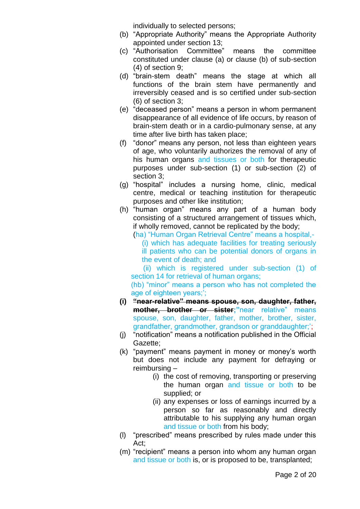individually to selected persons;

- (b) "Appropriate Authority" means the Appropriate Authority appointed under section 13;
- (c) "Authorisation Committee" means the committee constituted under clause (a) or clause (b) of sub-section (4) of section 9;
- (d) "brain-stem death" means the stage at which all functions of the brain stem have permanently and irreversibly ceased and is so certified under sub-section (6) of section 3;
- (e) "deceased person" means a person in whom permanent disappearance of all evidence of life occurs, by reason of brain-stem death or in a cardio-pulmonary sense, at any time after live birth has taken place;
- (f) "donor" means any person, not less than eighteen years of age, who voluntarily authorizes the removal of any of his human organs and tissues or both for therapeutic purposes under sub-section (1) or sub-section (2) of section 3;
- (g) "hospital" includes a nursing home, clinic, medical centre, medical or teaching institution for therapeutic purposes and other like institution;
- (h) "human organ" means any part of a human body consisting of a structured arrangement of tissues which, if wholly removed, cannot be replicated by the body;

(ha) "Human Organ Retrieval Centre" means a hospital,-

(i) which has adequate facilities for treating seriously ill patients who can be potential donors of organs in the event of death; and

 (ii) which is registered under sub-section (1) of section 14 for retrieval of human organs;

(hb) "minor" means a person who has not completed the age of eighteen years;";

- **(i) "near-relative" means spouse, son, daughter, father, mother, brother or sister;"**near relative" means spouse, son, daughter, father, mother, brother, sister, grandfather, grandmother, grandson or granddaughter;";
- (j) "notification" means a notification published in the Official Gazette;
- (k) "payment" means payment in money or money"s worth but does not include any payment for defraying or reimbursing –
	- (i) the cost of removing, transporting or preserving the human organ and tissue or both to be supplied; or
	- (ii) any expenses or loss of earnings incurred by a person so far as reasonably and directly attributable to his supplying any human organ and tissue or both from his body;
- (l) "prescribed" means prescribed by rules made under this Act;
- (m) "recipient" means a person into whom any human organ and tissue or both is, or is proposed to be, transplanted;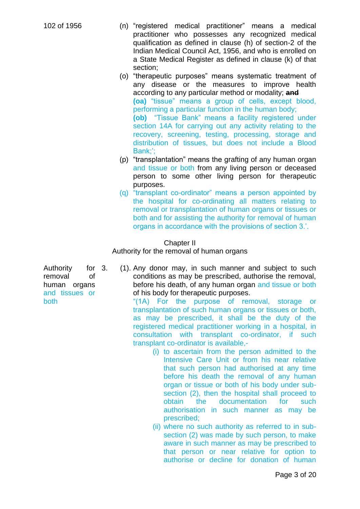- 102 of 1956 (n) "registered medical practitioner" means a medical practitioner who possesses any recognized medical qualification as defined in clause (h) of section-2 of the Indian Medical Council Act, 1956, and who is enrolled on a State Medical Register as defined in clause (k) of that section;
	- (o) "therapeutic purposes" means systematic treatment of any disease or the measures to improve health according to any particular method or modality; **and (oa)** "tissue" means a group of cells, except blood, performing a particular function in the human body; **(ob)** "Tissue Bank" means a facility registered under section 14A for carrying out any activity relating to the recovery, screening, testing, processing, storage and distribution of tissues, but does not include a Blood Bank<sup>\*</sup>
	- (p) "transplantation" means the grafting of any human organ and tissue or both from any living person or deceased person to some other living person for therapeutic purposes.
	- (q) "transplant co-ordinator" means a person appointed by the hospital for co-ordinating all matters relating to removal or transplantation of human organs or tissues or both and for assisting the authority for removal of human organs in accordance with the provisions of section 3.".

#### Chapter II

Authority for the removal of human organs

Authority for 3. removal of human organs and tissues or both

3. (1). Any donor may, in such manner and subject to such conditions as may be prescribed, authorise the removal, before his death, of any human organ and tissue or both of his body for therapeutic purposes.

"(1A) For the purpose of removal, storage or transplantation of such human organs or tissues or both, as may be prescribed, it shall be the duty of the registered medical practitioner working in a hospital, in consultation with transplant co-ordinator, if such transplant co-ordinator is available,-

- (i) to ascertain from the person admitted to the Intensive Care Unit or from his near relative that such person had authorised at any time before his death the removal of any human organ or tissue or both of his body under subsection (2), then the hospital shall proceed to obtain the documentation for such authorisation in such manner as may be prescribed;
- (ii) where no such authority as referred to in subsection (2) was made by such person, to make aware in such manner as may be prescribed to that person or near relative for option to authorise or decline for donation of human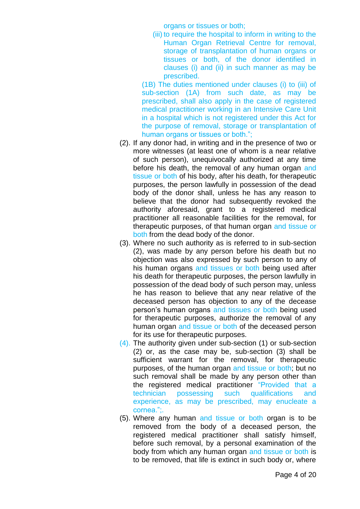organs or tissues or both;

(iii) to require the hospital to inform in writing to the Human Organ Retrieval Centre for removal, storage of transplantation of human organs or tissues or both, of the donor identified in clauses (i) and (ii) in such manner as may be prescribed.

(1B) The duties mentioned under clauses (i) to (iii) of sub-section (1A) from such date, as may be prescribed, shall also apply in the case of registered medical practitioner working in an Intensive Care Unit in a hospital which is not registered under this Act for the purpose of removal, storage or transplantation of human organs or tissues or both.";

- (2). If any donor had, in writing and in the presence of two or more witnesses (at least one of whom is a near relative of such person), unequivocally authorized at any time before his death, the removal of any human organ and tissue or both of his body, after his death, for therapeutic purposes, the person lawfully in possession of the dead body of the donor shall, unless he has any reason to believe that the donor had subsequently revoked the authority aforesaid, grant to a registered medical practitioner all reasonable facilities for the removal, for therapeutic purposes, of that human organ and tissue or both from the dead body of the donor.
- (3). Where no such authority as is referred to in sub-section (2), was made by any person before his death but no objection was also expressed by such person to any of his human organs and tissues or both being used after his death for therapeutic purposes, the person lawfully in possession of the dead body of such person may, unless he has reason to believe that any near relative of the deceased person has objection to any of the decease person's human organs and tissues or both being used for therapeutic purposes, authorize the removal of any human organ and tissue or both of the deceased person for its use for therapeutic purposes.
- (4). The authority given under sub-section (1) or sub-section (2) or, as the case may be, sub-section (3) shall be sufficient warrant for the removal, for therapeutic purposes, of the human organ and tissue or both; but no such removal shall be made by any person other than the registered medical practitioner "Provided that a technician possessing such qualifications and experience, as may be prescribed, may enucleate a cornea.";.
- (5). Where any human and tissue or both organ is to be removed from the body of a deceased person, the registered medical practitioner shall satisfy himself, before such removal, by a personal examination of the body from which any human organ and tissue or both is to be removed, that life is extinct in such body or, where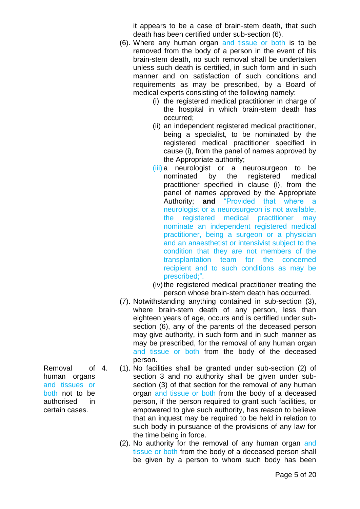it appears to be a case of brain-stem death, that such death has been certified under sub-section (6).

- (6). Where any human organ and tissue or both is to be removed from the body of a person in the event of his brain-stem death, no such removal shall be undertaken unless such death is certified, in such form and in such manner and on satisfaction of such conditions and requirements as may be prescribed, by a Board of medical experts consisting of the following namely:
	- (i) the registered medical practitioner in charge of the hospital in which brain-stem death has occurred;
	- (ii) an independent registered medical practitioner, being a specialist, to be nominated by the registered medical practitioner specified in cause (i), from the panel of names approved by the Appropriate authority;
	- (iii) a neurologist or a neurosurgeon to be nominated by the registered medical practitioner specified in clause (i), from the panel of names approved by the Appropriate Authority; **and** "Provided that where a neurologist or a neurosurgeon is not available, the registered medical practitioner may nominate an independent registered medical practitioner, being a surgeon or a physician and an anaesthetist or intensivist subject to the condition that they are not members of the transplantation team for the concerned recipient and to such conditions as may be prescribed;".
	- (iv) the registered medical practitioner treating the person whose brain-stem death has occurred.
- (7). Notwithstanding anything contained in sub-section (3), where brain-stem death of any person, less than eighteen years of age, occurs and is certified under subsection (6), any of the parents of the deceased person may give authority, in such form and in such manner as may be prescribed, for the removal of any human organ and tissue or both from the body of the deceased person.
- 4. (1). No facilities shall be granted under sub-section (2) of section 3 and no authority shall be given under subsection (3) of that section for the removal of any human organ and tissue or both from the body of a deceased person, if the person required to grant such facilities, or empowered to give such authority, has reason to believe that an inquest may be required to be held in relation to such body in pursuance of the provisions of any law for the time being in force.
	- (2). No authority for the removal of any human organ and tissue or both from the body of a deceased person shall be given by a person to whom such body has been

Removal of 4. human organs and tissues or both not to be authorised in certain cases.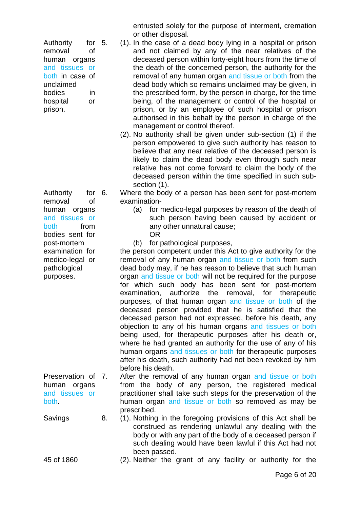| Authority       | for $5.$ |  |
|-----------------|----------|--|
| removal         | Ωf       |  |
| human organs    |          |  |
| and tissues or  |          |  |
| both in case of |          |  |
| unclaimed       |          |  |
| bodies          | in       |  |
| hospital        | or       |  |
| prison.         |          |  |

Authority for 6. removal of human organs and tissues or both from bodies sent for post-mortem examination for medico-legal or pathological purposes.

Preservation of 7. human organs and tissues or both.

entrusted solely for the purpose of interment, cremation or other disposal.

- 5. (1). In the case of a dead body lying in a hospital or prison and not claimed by any of the near relatives of the deceased person within forty-eight hours from the time of the death of the concerned person, the authority for the removal of any human organ and tissue or both from the dead body which so remains unclaimed may be given, in the prescribed form, by the person in charge, for the time being, of the management or control of the hospital or prison, or by an employee of such hospital or prison authorised in this behalf by the person in charge of the management or control thereof.
- (2). No authority shall be given under sub-section (1) if the person empowered to give such authority has reason to believe that any near relative of the deceased person is likely to claim the dead body even through such near relative has not come forward to claim the body of the deceased person within the time specified in such subsection (1).

Where the body of a person has been sent for post-mortem examination-

- (a) for medico-legal purposes by reason of the death of such person having been caused by accident or any other unnatural cause;
	- OR

(b) for pathological purposes,

the person competent under this Act to give authority for the removal of any human organ and tissue or both from such dead body may, if he has reason to believe that such human organ and tissue or both will not be required for the purpose for which such body has been sent for post-mortem examination, authorize the removal, for therapeutic purposes, of that human organ and tissue or both of the deceased person provided that he is satisfied that the deceased person had not expressed, before his death, any objection to any of his human organs and tissues or both being used, for therapeutic purposes after his death or, where he had granted an authority for the use of any of his human organs and tissues or both for therapeutic purposes after his death, such authority had not been revoked by him before his death.

After the removal of any human organ and tissue or both from the body of any person, the registered medical practitioner shall take such steps for the preservation of the human organ and tissue or both so removed as may be prescribed.

Savings 8. (1). Nothing in the foregoing provisions of this Act shall be construed as rendering unlawful any dealing with the body or with any part of the body of a deceased person if such dealing would have been lawful if this Act had not been passed.

45 of 1860 (2). Neither the grant of any facility or authority for the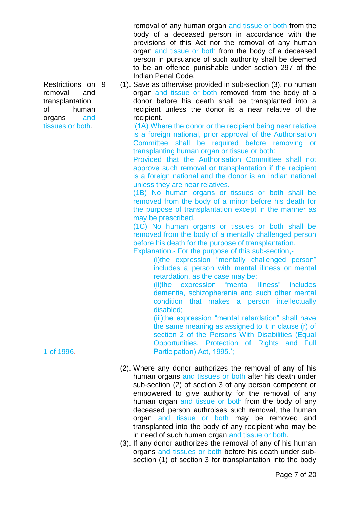removal of any human organ and tissue or both from the body of a deceased person in accordance with the provisions of this Act nor the removal of any human organ and tissue or both from the body of a deceased person in pursuance of such authority shall be deemed to be an offence punishable under section 297 of the Indian Penal Code.

9 (1). Save as otherwise provided in sub-section (3), no human organ and tissue or both removed from the body of a donor before his death shall be transplanted into a recipient unless the donor is a near relative of the recipient.

"(1A) Where the donor or the recipient being near relative is a foreign national, prior approval of the Authorisation Committee shall be required before removing or transplanting human organ or tissue or both:

Provided that the Authorisation Committee shall not approve such removal or transplantation if the recipient is a foreign national and the donor is an Indian national unless they are near relatives.

(1B) No human organs or tissues or both shall be removed from the body of a minor before his death for the purpose of transplantation except in the manner as may be prescribed.

(1C) No human organs or tissues or both shall be removed from the body of a mentally challenged person before his death for the purpose of transplantation.

Explanation.- For the purpose of this sub-section,-

(i)the expression "mentally challenged person" includes a person with mental illness or mental retardation, as the case may be;

(ii)the expression "mental illness" includes dementia, schizopherenia and such other mental condition that makes a person intellectually disabled;

(iii)the expression "mental retardation" shall have the same meaning as assigned to it in clause (r) of section 2 of the Persons With Disabilities (Equal Opportunities, Protection of Rights and Full Participation) Act, 1995.";

- (2). Where any donor authorizes the removal of any of his human organs and tissues or both after his death under sub-section (2) of section 3 of any person competent or empowered to give authority for the removal of any human organ and tissue or both from the body of any deceased person authroises such removal, the human organ and tissue or both may be removed and transplanted into the body of any recipient who may be in need of such human organ and tissue or both.
- (3). If any donor authorizes the removal of any of his human organs and tissues or both before his death under subsection (1) of section 3 for transplantation into the body

Restrictions on removal and transplantation of human organs and tissues or both.

1 of 1996.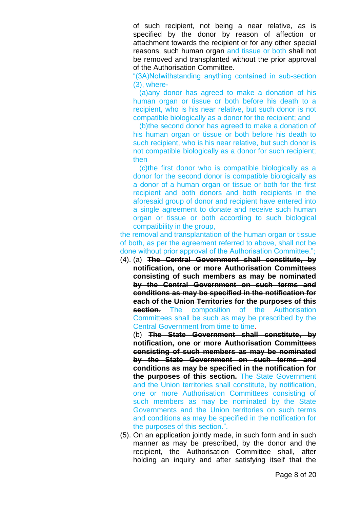of such recipient, not being a near relative, as is specified by the donor by reason of affection or attachment towards the recipient or for any other special reasons, such human organ and tissue or both shall not be removed and transplanted without the prior approval of the Authorisation Committee.

"(3A)Notwithstanding anything contained in sub-section (3), where-

 (a)any donor has agreed to make a donation of his human organ or tissue or both before his death to a recipient, who is his near relative, but such donor is not compatible biologically as a donor for the recipient; and

 (b)the second donor has agreed to make a donation of his human organ or tissue or both before his death to such recipient, who is his near relative, but such donor is not compatible biologically as a donor for such recipient; then

 (c)the first donor who is compatible biologically as a donor for the second donor is compatible biologically as a donor of a human organ or tissue or both for the first recipient and both donors and both recipients in the aforesaid group of donor and recipient have entered into a single agreement to donate and receive such human organ or tissue or both according to such biological compatibility in the group,

the removal and transplantation of the human organ or tissue of both, as per the agreement referred to above, shall not be done without prior approval of the Authorisation Committee.";

(4). (a) **The Central Government shall constitute, by notification, one or more Authorisation Committees consisting of such members as may be nominated by the Central Government on such terms and conditions as may be specified in the notification for each of the Union Territories for the purposes of this section**. The composition of the Authorisation Committees shall be such as may be prescribed by the Central Government from time to time.

(b) **The State Government shall constitute, by notification, one or more Authorisation Committees consisting of such members as may be nominated by the State Government on such terms and conditions as may be specified in the notification for the purposes of this section.** The State Government and the Union territories shall constitute, by notification, one or more Authorisation Committees consisting of such members as may be nominated by the State Governments and the Union territories on such terms and conditions as may be specified in the notification for the purposes of this section.".

(5). On an application jointly made, in such form and in such manner as may be prescribed, by the donor and the recipient, the Authorisation Committee shall, after holding an inquiry and after satisfying itself that the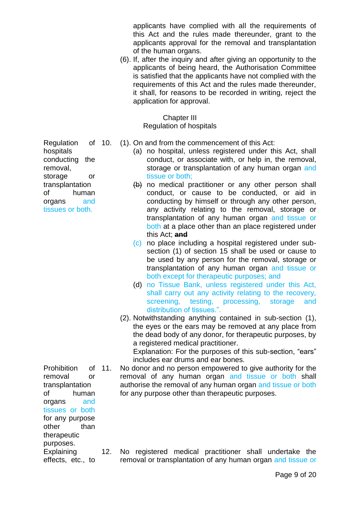applicants have complied with all the requirements of this Act and the rules made thereunder, grant to the applicants approval for the removal and transplantation of the human organs.

(6). If, after the inquiry and after giving an opportunity to the applicants of being heard, the Authorisation Committee is satisfied that the applicants have not complied with the requirements of this Act and the rules made thereunder, it shall, for reasons to be recorded in writing, reject the application for approval.

Chapter III

Regulation of hospitals

- (1). On and from the commencement of this Act:
	- (a) no hospital, unless registered under this Act, shall conduct, or associate with, or help in, the removal, storage or transplantation of any human organ and tissue or both;
	- $(b)$  no medical practitioner or any other person shall conduct, or cause to be conducted, or aid in conducting by himself or through any other person, any activity relating to the removal, storage or transplantation of any human organ and tissue or both at a place other than an place registered under this Act; **and**
	- (c) no place including a hospital registered under subsection (1) of section 15 shall be used or cause to be used by any person for the removal, storage or transplantation of any human organ and tissue or both except for therapeutic purposes; and
	- (d) no Tissue Bank, unless registered under this Act, shall carry out any activity relating to the recovery, screening, testing, processing, storage and distribution of tissues.".
	- (2). Notwithstanding anything contained in sub-section (1), the eyes or the ears may be removed at any place from the dead body of any donor, for therapeutic purposes, by a registered medical practitioner. Explanation: For the purposes of this sub-section, "ears"

includes ear drums and ear bones.

No donor and no person empowered to give authority for the removal of any human organ and tissue or both shall authorise the removal of any human organ and tissue or both for any purpose other than therapeutic purposes.

12. No registered medical practitioner shall undertake the removal or transplantation of any human organ and tissue or

Regulation of hospitals conducting the removal, storage or transplantation of human organs and tissues or both.

Prohibition of 11. removal or transplantation of human organs and tissues or both for any purpose other than therapeutic purposes. **Explaining** 

effects, etc., to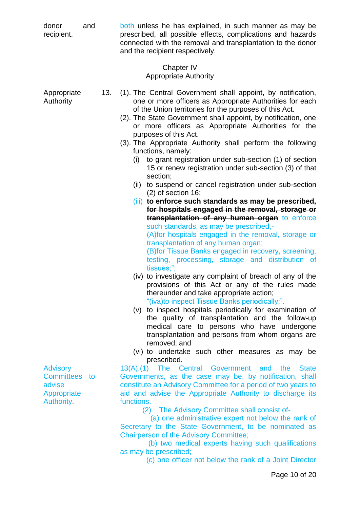| donor<br>recipient.                                                     | and | both unless he has explained, in such manner as may be<br>prescribed, all possible effects, complications and hazards<br>connected with the removal and transplantation to the donor<br>and the recipient respectively.                                                                                                                                                                                                                                                                                                                                                                                                                                                                                                                                                                                                                                                                                                                                                                                                                                                                                                                                                                                                                                                                                                                                                                                                                                                                                                                                                                                      |
|-------------------------------------------------------------------------|-----|--------------------------------------------------------------------------------------------------------------------------------------------------------------------------------------------------------------------------------------------------------------------------------------------------------------------------------------------------------------------------------------------------------------------------------------------------------------------------------------------------------------------------------------------------------------------------------------------------------------------------------------------------------------------------------------------------------------------------------------------------------------------------------------------------------------------------------------------------------------------------------------------------------------------------------------------------------------------------------------------------------------------------------------------------------------------------------------------------------------------------------------------------------------------------------------------------------------------------------------------------------------------------------------------------------------------------------------------------------------------------------------------------------------------------------------------------------------------------------------------------------------------------------------------------------------------------------------------------------------|
|                                                                         |     | Chapter IV<br><b>Appropriate Authority</b>                                                                                                                                                                                                                                                                                                                                                                                                                                                                                                                                                                                                                                                                                                                                                                                                                                                                                                                                                                                                                                                                                                                                                                                                                                                                                                                                                                                                                                                                                                                                                                   |
| Appropriate<br>Authority                                                |     | 13.<br>(1). The Central Government shall appoint, by notification,<br>one or more officers as Appropriate Authorities for each<br>of the Union territories for the purposes of this Act.<br>(2). The State Government shall appoint, by notification, one<br>or more officers as Appropriate Authorities for the<br>purposes of this Act.<br>(3). The Appropriate Authority shall perform the following<br>functions, namely:<br>to grant registration under sub-section (1) of section<br>(i)<br>15 or renew registration under sub-section (3) of that<br>section;<br>to suspend or cancel registration under sub-section<br>(ii)<br>$(2)$ of section 16;<br>(iii) to enforce such standards as may be prescribed,<br>for hospitals engaged in the removal, storage or<br>transplantation of any human organ to enforce<br>such standards, as may be prescribed,-<br>(A) for hospitals engaged in the removal, storage or<br>transplantation of any human organ;<br>(B) for Tissue Banks engaged in recovery, screening,<br>testing, processing, storage and distribution of<br>tissues;";<br>(iv) to investigate any complaint of breach of any of the<br>provisions of this Act or any of the rules made<br>thereunder and take appropriate action;<br>"(iva)to inspect Tissue Banks periodically;".<br>(v) to inspect hospitals periodically for examination of<br>the quality of transplantation and the follow-up<br>medical care to persons who have undergone<br>transplantation and persons from whom organs are<br>removed; and<br>(vi) to undertake such other measures as may be<br>prescribed. |
| <b>Advisory</b><br>Committees to<br>advise<br>Appropriate<br>Authority. |     | The Central Government and<br>$13(A)$ .(1)<br>the<br><b>State</b><br>Governments, as the case may be, by notification, shall<br>constitute an Advisory Committee for a period of two years to<br>aid and advise the Appropriate Authority to discharge its<br>functions.                                                                                                                                                                                                                                                                                                                                                                                                                                                                                                                                                                                                                                                                                                                                                                                                                                                                                                                                                                                                                                                                                                                                                                                                                                                                                                                                     |
|                                                                         |     | The Advisory Committee shall consist of-<br>(2)<br>(a) one administrative expert not below the rank of<br>Secretary to the State Government, to be nominated as<br><b>Chairperson of the Advisory Committee;</b><br>(b) two medical experts having such qualifications<br>as may be prescribed;<br>(c) one officer not below the rank of a Joint Director                                                                                                                                                                                                                                                                                                                                                                                                                                                                                                                                                                                                                                                                                                                                                                                                                                                                                                                                                                                                                                                                                                                                                                                                                                                    |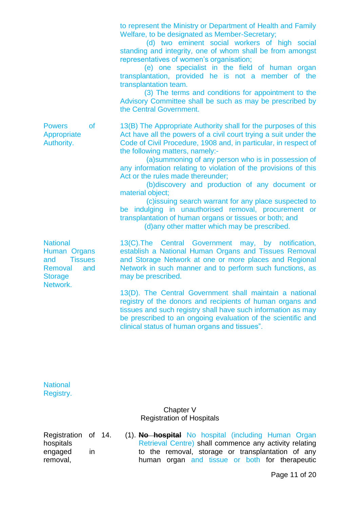to represent the Ministry or Department of Health and Family Welfare, to be designated as Member-Secretary;

 (d) two eminent social workers of high social standing and integrity, one of whom shall be from amongst representatives of women's organisation;

 (e) one specialist in the field of human organ transplantation, provided he is not a member of the transplantation team.

 (3) The terms and conditions for appointment to the Advisory Committee shall be such as may be prescribed by the Central Government.

13(B) The Appropriate Authority shall for the purposes of this Act have all the powers of a civil court trying a suit under the Code of Civil Procedure, 1908 and, in particular, in respect of the following matters, namely:-

 (a)summoning of any person who is in possession of any information relating to violation of the provisions of this Act or the rules made thereunder:

 (b)discovery and production of any document or material object;

 (c)issuing search warrant for any place suspected to be indulging in unauthorised removal, procurement or transplantation of human organs or tissues or both; and

(d)any other matter which may be prescribed.

**National** Human Organs and Tissues Removal and **Storage** Network.

Powers of Appropriate Authority.

> 13(C).The Central Government may, by notification, establish a National Human Organs and Tissues Removal and Storage Network at one or more places and Regional Network in such manner and to perform such functions, as may be prescribed.

> 13(D). The Central Government shall maintain a national registry of the donors and recipients of human organs and tissues and such registry shall have such information as may be prescribed to an ongoing evaluation of the scientific and clinical status of human organs and tissues".

**National** Registry.

### Chapter V Registration of Hospitals

Registration of hospitals engaged in removal,

14. (1). **No hospital** No hospital (including Human Organ Retrieval Centre) shall commence any activity relating to the removal, storage or transplantation of any human organ and tissue or both for therapeutic

Page 11 of 20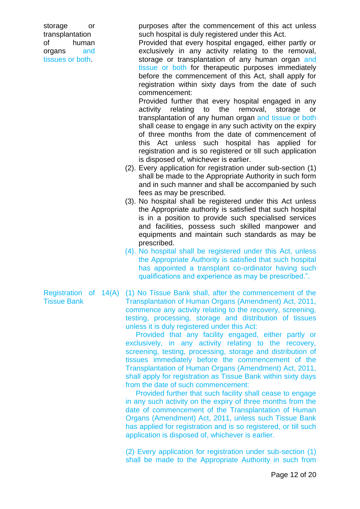storage or transplantation of human organs and tissues or both.

purposes after the commencement of this act unless such hospital is duly registered under this Act.

Provided that every hospital engaged, either partly or exclusively in any activity relating to the removal, storage or transplantation of any human organ and tissue or both for therapeutic purposes immediately before the commencement of this Act, shall apply for registration within sixty days from the date of such commencement:

Provided further that every hospital engaged in any activity relating to the removal, storage or transplantation of any human organ and tissue or both shall cease to engage in any such activity on the expiry of three months from the date of commencement of this Act unless such hospital has applied for registration and is so registered or till such application is disposed of, whichever is earlier.

- (2). Every application for registration under sub-section (1) shall be made to the Appropriate Authority in such form and in such manner and shall be accompanied by such fees as may be prescribed.
- (3). No hospital shall be registered under this Act unless the Appropriate authority is satisfied that such hospital is in a position to provide such specialised services and facilities, possess such skilled manpower and equipments and maintain such standards as may be prescribed.
- (4). No hospital shall be registered under this Act, unless the Appropriate Authority is satisfied that such hospital has appointed a transplant co-ordinator having such qualifications and experience as may be prescribed.".

Registration of 14(A) Tissue Bank (1) No Tissue Bank shall, after the commencement of the Transplantation of Human Organs (Amendment) Act, 2011, commence any activity relating to the recovery, screening, testing, processing, storage and distribution of tissues unless it is duly registered under this Act:

> Provided that any facility engaged, either partly or exclusively, in any activity relating to the recovery, screening, testing, processing, storage and distribution of tissues immediately before the commencement of the Transplantation of Human Organs (Amendment) Act, 2011, shall apply for registration as Tissue Bank within sixty days from the date of such commencement:

> Provided further that such facility shall cease to engage in any such activity on the expiry of three months from the date of commencement of the Transplantation of Human Organs (Amendment) Act, 2011, unless such Tissue Bank has applied for registration and is so registered, or till such application is disposed of, whichever is earlier.

> (2) Every application for registration under sub-section (1) shall be made to the Appropriate Authority in such from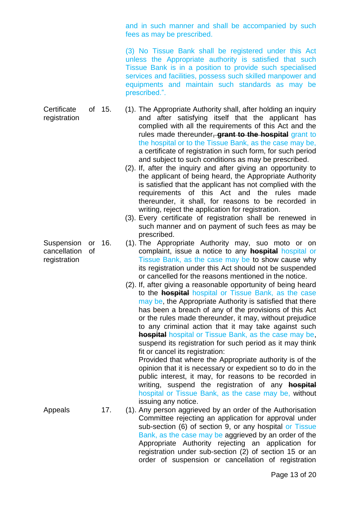and in such manner and shall be accompanied by such fees as may be prescribed.

(3) No Tissue Bank shall be registered under this Act unless the Appropriate authority is satisfied that such Tissue Bank is in a position to provide such specialised services and facilities, possess such skilled manpower and equipments and maintain such standards as may be prescribed.".

Certificate of 15. registration 15. (1). The Appropriate Authority shall, after holding an inquiry and after satisfying itself that the applicant has complied with all the requirements of this Act and the rules made thereunder, **grant to the hospital** grant to the hospital or to the Tissue Bank, as the case may be, a certificate of registration in such form, for such period and subject to such conditions as may be prescribed.

- (2). If, after the inquiry and after giving an opportunity to the applicant of being heard, the Appropriate Authority is satisfied that the applicant has not complied with the requirements of this Act and the rules made thereunder, it shall, for reasons to be recorded in writing, reject the application for registration.
- (3). Every certificate of registration shall be renewed in such manner and on payment of such fees as may be prescribed.
- (1). The Appropriate Authority may, suo moto or on complaint, issue a notice to any **hospital** hospital or Tissue Bank, as the case may be to show cause why its registration under this Act should not be suspended or cancelled for the reasons mentioned in the notice.
- (2). If, after giving a reasonable opportunity of being heard to the **hospital** hospital or Tissue Bank, as the case may be, the Appropriate Authority is satisfied that there has been a breach of any of the provisions of this Act or the rules made thereunder, it may, without prejudice to any criminal action that it may take against such **hospital** hospital or Tissue Bank, as the case may be, suspend its registration for such period as it may think fit or cancel its registration:

Provided that where the Appropriate authority is of the opinion that it is necessary or expedient so to do in the public interest, it may, for reasons to be recorded in writing, suspend the registration of any **hospital** hospital or Tissue Bank, as the case may be, without issuing any notice.

Appeals 17. (1). Any person aggrieved by an order of the Authorisation Committee rejecting an application for approval under sub-section (6) of section 9, or any hospital or Tissue Bank, as the case may be aggrieved by an order of the Appropriate Authority rejecting an application for registration under sub-section (2) of section 15 or an order of suspension or cancellation of registration

Suspension or 16. cancellation of registration

Page 13 of 20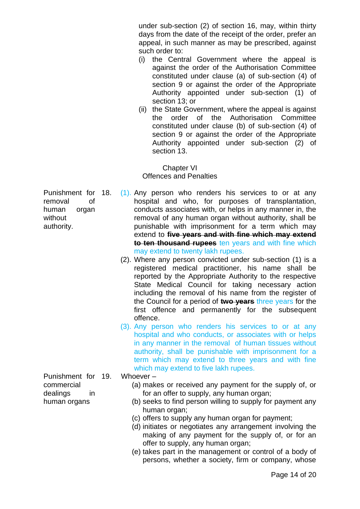under sub-section (2) of section 16, may, within thirty days from the date of the receipt of the order, prefer an appeal, in such manner as may be prescribed, against such order to:

- (i) the Central Government where the appeal is against the order of the Authorisation Committee constituted under clause (a) of sub-section (4) of section 9 or against the order of the Appropriate Authority appointed under sub-section (1) of section 13; or
- (ii) the State Government, where the appeal is against the order of the Authorisation Committee constituted under clause (b) of sub-section (4) of section 9 or against the order of the Appropriate Authority appointed under sub-section (2) of section 13.

Chapter VI Offences and Penalties

- $(1)$ . Any person who renders his services to or at any hospital and who, for purposes of transplantation, conducts associates with, or helps in any manner in, the removal of any human organ without authority, shall be punishable with imprisonment for a term which may extend to **five years and with fine which may extend to ten thousand rupees** ten years and with fine which may extend to twenty lakh rupees.
	- (2). Where any person convicted under sub-section (1) is a registered medical practitioner, his name shall be reported by the Appropriate Authority to the respective State Medical Council for taking necessary action including the removal of his name from the register of the Council for a period of **two years** three years for the first offence and permanently for the subsequent offence.
	- (3). Any person who renders his services to or at any hospital and who conducts, or associates with or helps in any manner in the removal of human tissues without authority, shall be punishable with imprisonment for a term which may extend to three years and with fine which may extend to five lakh rupees.

#### Punishment for Whoever  $-$

- (a) makes or received any payment for the supply of, or for an offer to supply, any human organ;
- (b) seeks to find person willing to supply for payment any human organ;
- (c) offers to supply any human organ for payment;
- (d) initiates or negotiates any arrangement involving the making of any payment for the supply of, or for an offer to supply, any human organ;
- (e) takes part in the management or control of a body of persons, whether a society, firm or company, whose

Punishment for removal of human organ without authority.

commercial dealings in human organs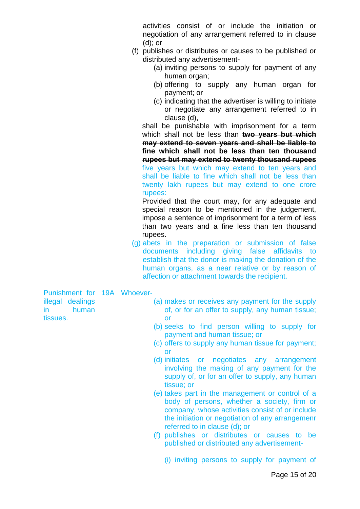activities consist of or include the initiation or negotiation of any arrangement referred to in clause (d); or

- (f) publishes or distributes or causes to be published or distributed any advertisement-
	- (a) inviting persons to supply for payment of any human organ;
	- (b) offering to supply any human organ for payment; or
	- (c) indicating that the advertiser is willing to initiate or negotiate any arrangement referred to in clause (d),

shall be punishable with imprisonment for a term which shall not be less than **two years but which may extend to seven years and shall be liable to fine which shall not be less than ten thousand rupees but may extend to twenty thousand rupees** five years but which may extend to ten years and shall be liable to fine which shall not be less than twenty lakh rupees but may extend to one crore rupees:

Provided that the court may, for any adequate and special reason to be mentioned in the judgement, impose a sentence of imprisonment for a term of less than two years and a fine less than ten thousand rupees.

(g) abets in the preparation or submission of false documents including giving false affidavits to establish that the donor is making the donation of the human organs, as a near relative or by reason of affection or attachment towards the recipient.

Punishment for 19A Whoever illegal dealings in human tissues.

- (a) makes or receives any payment for the supply of, or for an offer to supply, any human tissue; or
- (b) seeks to find person willing to supply for payment and human tissue; or
- (c) offers to supply any human tissue for payment; or
- (d) initiates or negotiates any arrangement involving the making of any payment for the supply of, or for an offer to supply, any human tissue; or
- (e) takes part in the management or control of a body of persons, whether a society, firm or company, whose activities consist of or include the initiation or negotiation of any arrangemenr referred to in clause (d); or
- (f) publishes or distributes or causes to be published or distributed any advertisement-
	- (i) inviting persons to supply for payment of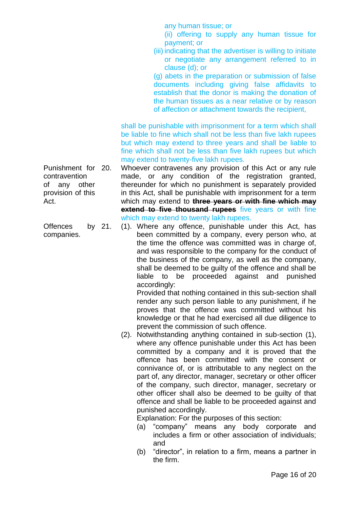any human tissue; or

- (ii) offering to supply any human tissue for payment; or
- (iii) indicating that the advertiser is willing to initiate or negotiate any arrangement referred to in clause (d); or

(g) abets in the preparation or submission of false documents including giving false affidavits to establish that the donor is making the donation of the human tissues as a near relative or by reason of affection or attachment towards the recipient,

shall be punishable with imprisonment for a term which shall be liable to fine which shall not be less than five lakh rupees but which may extend to three years and shall be liable to fine which shall not be less than five lakh rupees but which may extend to twenty-five lakh rupees.

Whoever contravenes any provision of this Act or any rule made, or any condition of the registration granted, thereunder for which no punishment is separately provided in this Act, shall be punishable with imprisonment for a term which may extend to **three years or with fine which may extend to five thousand rupees** five years or with fine which may extend to twenty lakh rupees.

21. (1). Where any offence, punishable under this Act, has been committed by a company, every person who, at the time the offence was committed was in charge of, and was responsible to the company for the conduct of the business of the company, as well as the company, shall be deemed to be guilty of the offence and shall be liable to be proceeded against and punished accordingly:

Provided that nothing contained in this sub-section shall render any such person liable to any punishment, if he proves that the offence was committed without his knowledge or that he had exercised all due diligence to prevent the commission of such offence.

(2). Notwithstanding anything contained in sub-section (1), where any offence punishable under this Act has been committed by a company and it is proved that the offence has been committed with the consent or connivance of, or is attributable to any neglect on the part of, any director, manager, secretary or other officer of the company, such director, manager, secretary or other officer shall also be deemed to be guilty of that offence and shall be liable to be proceeded against and punished accordingly.

Explanation: For the purposes of this section:

- (a) "company" means any body corporate and includes a firm or other association of individuals; and
- (b) "director", in relation to a firm, means a partner in the firm.

Punishment for contravention of any other provision of this Act.

Offences by 21. companies.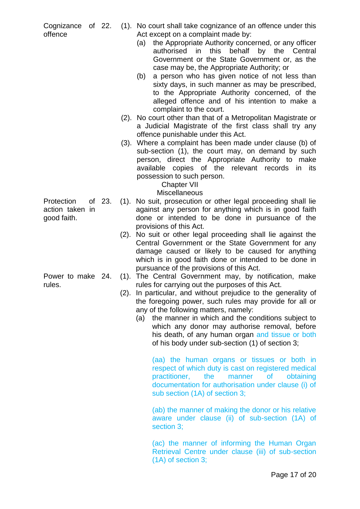offence

- Cognizance of 22. (1). No court shall take cognizance of an offence under this Act except on a complaint made by:
	- (a) the Appropriate Authority concerned, or any officer authorised in this behalf by the Central Government or the State Government or, as the case may be, the Appropriate Authority; or
	- (b) a person who has given notice of not less than sixty days, in such manner as may be prescribed, to the Appropriate Authority concerned, of the alleged offence and of his intention to make a complaint to the court.
	- (2). No court other than that of a Metropolitan Magistrate or a Judicial Magistrate of the first class shall try any offence punishable under this Act.
	- (3). Where a complaint has been made under clause (b) of sub-section (1), the court may, on demand by such person, direct the Appropriate Authority to make available copies of the relevant records in its possession to such person.

# Chapter VII

# **Miscellaneous**

- 23. (1). No suit, prosecution or other legal proceeding shall lie against any person for anything which is in good faith done or intended to be done in pursuance of the provisions of this Act.
	- (2). No suit or other legal proceeding shall lie against the Central Government or the State Government for any damage caused or likely to be caused for anything which is in good faith done or intended to be done in pursuance of the provisions of this Act.
	- (1). The Central Government may, by notification, make rules for carrying out the purposes of this Act.
	- (2). In particular, and without prejudice to the generality of the foregoing power, such rules may provide for all or any of the following matters, namely:
		- (a) the manner in which and the conditions subject to which any donor may authorise removal, before his death, of any human organ and tissue or both of his body under sub-section (1) of section 3;

(aa) the human organs or tissues or both in respect of which duty is cast on registered medical practitioner, the manner of obtaining documentation for authorisation under clause (i) of sub section (1A) of section 3;

(ab) the manner of making the donor or his relative aware under clause (ii) of sub-section (1A) of section 3;

(ac) the manner of informing the Human Organ Retrieval Centre under clause (iii) of sub-section (1A) of section 3;

Protection of 23. action taken in good faith.

Power to make 24. rules.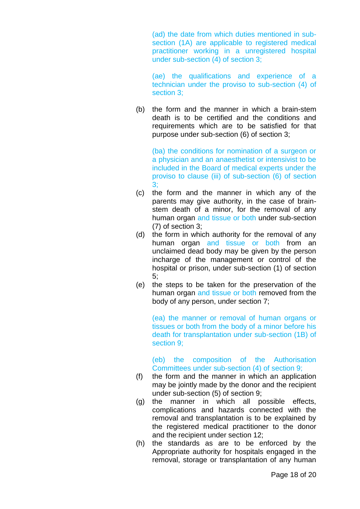(ad) the date from which duties mentioned in subsection (1A) are applicable to registered medical practitioner working in a unregistered hospital under sub-section (4) of section 3;

(ae) the qualifications and experience of a technician under the proviso to sub-section (4) of section 3;

(b) the form and the manner in which a brain-stem death is to be certified and the conditions and requirements which are to be satisfied for that purpose under sub-section (6) of section 3;

(ba) the conditions for nomination of a surgeon or a physician and an anaesthetist or intensivist to be included in the Board of medical experts under the proviso to clause (iii) of sub-section (6) of section 3;

- (c) the form and the manner in which any of the parents may give authority, in the case of brainstem death of a minor, for the removal of any human organ and tissue or both under sub-section (7) of section 3;
- (d) the form in which authority for the removal of any human organ and tissue or both from an unclaimed dead body may be given by the person incharge of the management or control of the hospital or prison, under sub-section (1) of section 5;
- (e) the steps to be taken for the preservation of the human organ and tissue or both removed from the body of any person, under section 7;

(ea) the manner or removal of human organs or tissues or both from the body of a minor before his death for transplantation under sub-section (1B) of section 9;

(eb) the composition of the Authorisation Committees under sub-section (4) of section 9;

- (f) the form and the manner in which an application may be jointly made by the donor and the recipient under sub-section (5) of section 9;
- (g) the manner in which all possible effects, complications and hazards connected with the removal and transplantation is to be explained by the registered medical practitioner to the donor and the recipient under section 12;
- (h) the standards as are to be enforced by the Appropriate authority for hospitals engaged in the removal, storage or transplantation of any human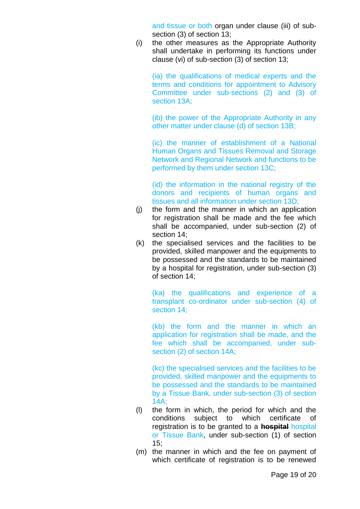and tissue or both organ under clause (iii) of subsection (3) of section 13;

(i) the other measures as the Appropriate Authority shall undertake in performing its functions under clause (vi) of sub-section (3) of section 13;

(ia) the qualifications of medical experts and the terms and conditions for appointment to Advisory Committee under sub-sections (2) and (3) of section 13A;

(ib) the power of the Appropriate Authority in any other matter under clause (d) of section 13B;

(ic) the manner of establishment of a National Human Organs and Tissues Removal and Storage Network and Regional Network and functions to be performed by them under section 13C;

(id) the information in the national registry of the donors and recipients of human organs and tissues and all information under section 13D;

- (j) the form and the manner in which an application for registration shall be made and the fee which shall be accompanied, under sub-section (2) of section 14;
- (k) the specialised services and the facilities to be provided, skilled manpower and the equipments to be possessed and the standards to be maintained by a hospital for registration, under sub-section (3) of section 14;

(ka) the qualifications and experience of a transplant co-ordinator under sub-section (4) of section 14;

(kb) the form and the manner in which an application for registration shall be made, and the fee which shall be accompanied, under subsection (2) of section 14A;

(kc) the specialised services and the facilities to be provided, skilled manpower and the equipments to be possessed and the standards to be maintained by a Tissue Bank, under sub-section (3) of section 14A;

- (l) the form in which, the period for which and the conditions subject to which certificate of registration is to be granted to a **hospital** hospital or Tissue Bank, under sub-section (1) of section  $15:$
- (m) the manner in which and the fee on payment of which certificate of registration is to be renewed